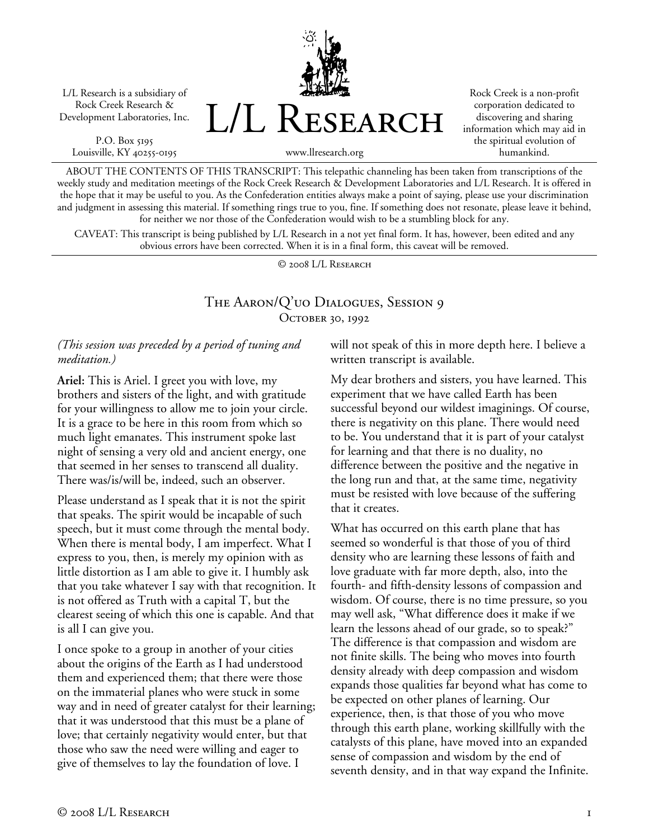L/L Research is a subsidiary of Rock Creek Research & Development Laboratories, Inc.

P.O. Box 5195 Louisville, KY 40255-0195 L/L Research

Rock Creek is a non-profit corporation dedicated to discovering and sharing information which may aid in the spiritual evolution of humankind.

www.llresearch.org

ABOUT THE CONTENTS OF THIS TRANSCRIPT: This telepathic channeling has been taken from transcriptions of the weekly study and meditation meetings of the Rock Creek Research & Development Laboratories and L/L Research. It is offered in the hope that it may be useful to you. As the Confederation entities always make a point of saying, please use your discrimination and judgment in assessing this material. If something rings true to you, fine. If something does not resonate, please leave it behind, for neither we nor those of the Confederation would wish to be a stumbling block for any.

CAVEAT: This transcript is being published by L/L Research in a not yet final form. It has, however, been edited and any obvious errors have been corrected. When it is in a final form, this caveat will be removed.

© 2008 L/L Research

## The Aaron/Q'uo Dialogues, Session 9 October 30, 1992

## *(This session was preceded by a period of tuning and meditation.)*

**Ariel:** This is Ariel. I greet you with love, my brothers and sisters of the light, and with gratitude for your willingness to allow me to join your circle. It is a grace to be here in this room from which so much light emanates. This instrument spoke last night of sensing a very old and ancient energy, one that seemed in her senses to transcend all duality. There was/is/will be, indeed, such an observer.

Please understand as I speak that it is not the spirit that speaks. The spirit would be incapable of such speech, but it must come through the mental body. When there is mental body, I am imperfect. What I express to you, then, is merely my opinion with as little distortion as I am able to give it. I humbly ask that you take whatever I say with that recognition. It is not offered as Truth with a capital T, but the clearest seeing of which this one is capable. And that is all I can give you.

I once spoke to a group in another of your cities about the origins of the Earth as I had understood them and experienced them; that there were those on the immaterial planes who were stuck in some way and in need of greater catalyst for their learning; that it was understood that this must be a plane of love; that certainly negativity would enter, but that those who saw the need were willing and eager to give of themselves to lay the foundation of love. I

will not speak of this in more depth here. I believe a written transcript is available.

My dear brothers and sisters, you have learned. This experiment that we have called Earth has been successful beyond our wildest imaginings. Of course, there is negativity on this plane. There would need to be. You understand that it is part of your catalyst for learning and that there is no duality, no difference between the positive and the negative in the long run and that, at the same time, negativity must be resisted with love because of the suffering that it creates.

What has occurred on this earth plane that has seemed so wonderful is that those of you of third density who are learning these lessons of faith and love graduate with far more depth, also, into the fourth- and fifth-density lessons of compassion and wisdom. Of course, there is no time pressure, so you may well ask, "What difference does it make if we learn the lessons ahead of our grade, so to speak?" The difference is that compassion and wisdom are not finite skills. The being who moves into fourth density already with deep compassion and wisdom expands those qualities far beyond what has come to be expected on other planes of learning. Our experience, then, is that those of you who move through this earth plane, working skillfully with the catalysts of this plane, have moved into an expanded sense of compassion and wisdom by the end of seventh density, and in that way expand the Infinite.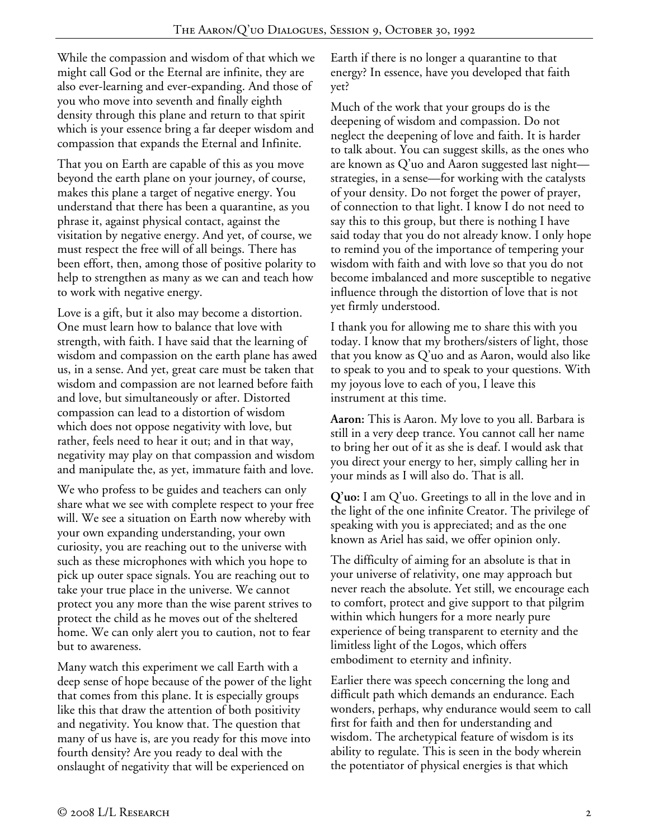While the compassion and wisdom of that which we might call God or the Eternal are infinite, they are also ever-learning and ever-expanding. And those of you who move into seventh and finally eighth density through this plane and return to that spirit which is your essence bring a far deeper wisdom and compassion that expands the Eternal and Infinite.

That you on Earth are capable of this as you move beyond the earth plane on your journey, of course, makes this plane a target of negative energy. You understand that there has been a quarantine, as you phrase it, against physical contact, against the visitation by negative energy. And yet, of course, we must respect the free will of all beings. There has been effort, then, among those of positive polarity to help to strengthen as many as we can and teach how to work with negative energy.

Love is a gift, but it also may become a distortion. One must learn how to balance that love with strength, with faith. I have said that the learning of wisdom and compassion on the earth plane has awed us, in a sense. And yet, great care must be taken that wisdom and compassion are not learned before faith and love, but simultaneously or after. Distorted compassion can lead to a distortion of wisdom which does not oppose negativity with love, but rather, feels need to hear it out; and in that way, negativity may play on that compassion and wisdom and manipulate the, as yet, immature faith and love.

We who profess to be guides and teachers can only share what we see with complete respect to your free will. We see a situation on Earth now whereby with your own expanding understanding, your own curiosity, you are reaching out to the universe with such as these microphones with which you hope to pick up outer space signals. You are reaching out to take your true place in the universe. We cannot protect you any more than the wise parent strives to protect the child as he moves out of the sheltered home. We can only alert you to caution, not to fear but to awareness.

Many watch this experiment we call Earth with a deep sense of hope because of the power of the light that comes from this plane. It is especially groups like this that draw the attention of both positivity and negativity. You know that. The question that many of us have is, are you ready for this move into fourth density? Are you ready to deal with the onslaught of negativity that will be experienced on

Earth if there is no longer a quarantine to that energy? In essence, have you developed that faith yet?

Much of the work that your groups do is the deepening of wisdom and compassion. Do not neglect the deepening of love and faith. It is harder to talk about. You can suggest skills, as the ones who are known as Q'uo and Aaron suggested last night strategies, in a sense—for working with the catalysts of your density. Do not forget the power of prayer, of connection to that light. I know I do not need to say this to this group, but there is nothing I have said today that you do not already know. I only hope to remind you of the importance of tempering your wisdom with faith and with love so that you do not become imbalanced and more susceptible to negative influence through the distortion of love that is not yet firmly understood.

I thank you for allowing me to share this with you today. I know that my brothers/sisters of light, those that you know as Q'uo and as Aaron, would also like to speak to you and to speak to your questions. With my joyous love to each of you, I leave this instrument at this time.

**Aaron:** This is Aaron. My love to you all. Barbara is still in a very deep trance. You cannot call her name to bring her out of it as she is deaf. I would ask that you direct your energy to her, simply calling her in your minds as I will also do. That is all.

**Q'uo:** I am Q'uo. Greetings to all in the love and in the light of the one infinite Creator. The privilege of speaking with you is appreciated; and as the one known as Ariel has said, we offer opinion only.

The difficulty of aiming for an absolute is that in your universe of relativity, one may approach but never reach the absolute. Yet still, we encourage each to comfort, protect and give support to that pilgrim within which hungers for a more nearly pure experience of being transparent to eternity and the limitless light of the Logos, which offers embodiment to eternity and infinity.

Earlier there was speech concerning the long and difficult path which demands an endurance. Each wonders, perhaps, why endurance would seem to call first for faith and then for understanding and wisdom. The archetypical feature of wisdom is its ability to regulate. This is seen in the body wherein the potentiator of physical energies is that which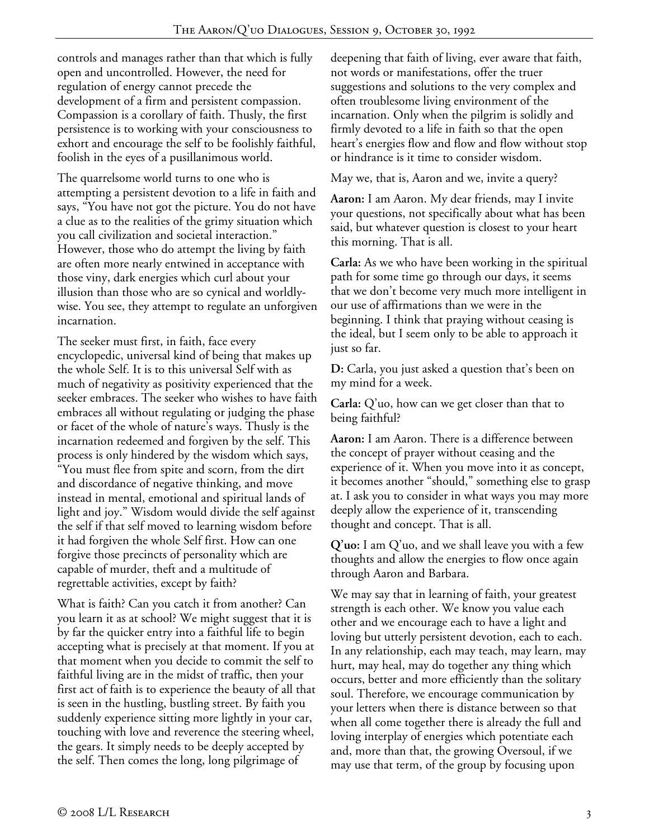controls and manages rather than that which is fully open and uncontrolled. However, the need for regulation of energy cannot precede the development of a firm and persistent compassion. Compassion is a corollary of faith. Thusly, the first persistence is to working with your consciousness to exhort and encourage the self to be foolishly faithful, foolish in the eyes of a pusillanimous world.

The quarrelsome world turns to one who is attempting a persistent devotion to a life in faith and says, "You have not got the picture. You do not have a clue as to the realities of the grimy situation which you call civilization and societal interaction." However, those who do attempt the living by faith are often more nearly entwined in acceptance with those viny, dark energies which curl about your illusion than those who are so cynical and worldlywise. You see, they attempt to regulate an unforgiven incarnation.

The seeker must first, in faith, face every encyclopedic, universal kind of being that makes up the whole Self. It is to this universal Self with as much of negativity as positivity experienced that the seeker embraces. The seeker who wishes to have faith embraces all without regulating or judging the phase or facet of the whole of nature's ways. Thusly is the incarnation redeemed and forgiven by the self. This process is only hindered by the wisdom which says, "You must flee from spite and scorn, from the dirt and discordance of negative thinking, and move instead in mental, emotional and spiritual lands of light and joy." Wisdom would divide the self against the self if that self moved to learning wisdom before it had forgiven the whole Self first. How can one forgive those precincts of personality which are capable of murder, theft and a multitude of regrettable activities, except by faith?

What is faith? Can you catch it from another? Can you learn it as at school? We might suggest that it is by far the quicker entry into a faithful life to begin accepting what is precisely at that moment. If you at that moment when you decide to commit the self to faithful living are in the midst of traffic, then your first act of faith is to experience the beauty of all that is seen in the hustling, bustling street. By faith you suddenly experience sitting more lightly in your car, touching with love and reverence the steering wheel, the gears. It simply needs to be deeply accepted by the self. Then comes the long, long pilgrimage of

deepening that faith of living, ever aware that faith, not words or manifestations, offer the truer suggestions and solutions to the very complex and often troublesome living environment of the incarnation. Only when the pilgrim is solidly and firmly devoted to a life in faith so that the open heart's energies flow and flow and flow without stop or hindrance is it time to consider wisdom.

May we, that is, Aaron and we, invite a query?

**Aaron:** I am Aaron. My dear friends, may I invite your questions, not specifically about what has been said, but whatever question is closest to your heart this morning. That is all.

**Carla:** As we who have been working in the spiritual path for some time go through our days, it seems that we don't become very much more intelligent in our use of affirmations than we were in the beginning. I think that praying without ceasing is the ideal, but I seem only to be able to approach it just so far.

**D:** Carla, you just asked a question that's been on my mind for a week.

**Carla:** Q'uo, how can we get closer than that to being faithful?

**Aaron:** I am Aaron. There is a difference between the concept of prayer without ceasing and the experience of it. When you move into it as concept, it becomes another "should," something else to grasp at. I ask you to consider in what ways you may more deeply allow the experience of it, transcending thought and concept. That is all.

**Q'uo:** I am Q'uo, and we shall leave you with a few thoughts and allow the energies to flow once again through Aaron and Barbara.

We may say that in learning of faith, your greatest strength is each other. We know you value each other and we encourage each to have a light and loving but utterly persistent devotion, each to each. In any relationship, each may teach, may learn, may hurt, may heal, may do together any thing which occurs, better and more efficiently than the solitary soul. Therefore, we encourage communication by your letters when there is distance between so that when all come together there is already the full and loving interplay of energies which potentiate each and, more than that, the growing Oversoul, if we may use that term, of the group by focusing upon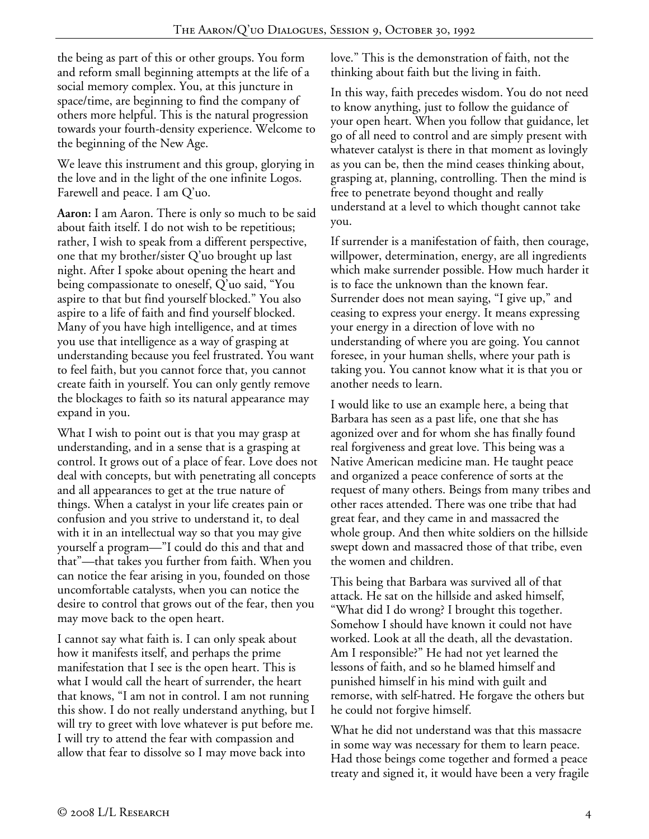the being as part of this or other groups. You form and reform small beginning attempts at the life of a social memory complex. You, at this juncture in space/time, are beginning to find the company of others more helpful. This is the natural progression towards your fourth-density experience. Welcome to the beginning of the New Age.

We leave this instrument and this group, glorying in the love and in the light of the one infinite Logos. Farewell and peace. I am Q'uo.

**Aaron:** I am Aaron. There is only so much to be said about faith itself. I do not wish to be repetitious; rather, I wish to speak from a different perspective, one that my brother/sister Q'uo brought up last night. After I spoke about opening the heart and being compassionate to oneself, Q'uo said, "You aspire to that but find yourself blocked." You also aspire to a life of faith and find yourself blocked. Many of you have high intelligence, and at times you use that intelligence as a way of grasping at understanding because you feel frustrated. You want to feel faith, but you cannot force that, you cannot create faith in yourself. You can only gently remove the blockages to faith so its natural appearance may expand in you.

What I wish to point out is that you may grasp at understanding, and in a sense that is a grasping at control. It grows out of a place of fear. Love does not deal with concepts, but with penetrating all concepts and all appearances to get at the true nature of things. When a catalyst in your life creates pain or confusion and you strive to understand it, to deal with it in an intellectual way so that you may give yourself a program—"I could do this and that and that"—that takes you further from faith. When you can notice the fear arising in you, founded on those uncomfortable catalysts, when you can notice the desire to control that grows out of the fear, then you may move back to the open heart.

I cannot say what faith is. I can only speak about how it manifests itself, and perhaps the prime manifestation that I see is the open heart. This is what I would call the heart of surrender, the heart that knows, "I am not in control. I am not running this show. I do not really understand anything, but I will try to greet with love whatever is put before me. I will try to attend the fear with compassion and allow that fear to dissolve so I may move back into

love." This is the demonstration of faith, not the thinking about faith but the living in faith.

In this way, faith precedes wisdom. You do not need to know anything, just to follow the guidance of your open heart. When you follow that guidance, let go of all need to control and are simply present with whatever catalyst is there in that moment as lovingly as you can be, then the mind ceases thinking about, grasping at, planning, controlling. Then the mind is free to penetrate beyond thought and really understand at a level to which thought cannot take you.

If surrender is a manifestation of faith, then courage, willpower, determination, energy, are all ingredients which make surrender possible. How much harder it is to face the unknown than the known fear. Surrender does not mean saying, "I give up," and ceasing to express your energy. It means expressing your energy in a direction of love with no understanding of where you are going. You cannot foresee, in your human shells, where your path is taking you. You cannot know what it is that you or another needs to learn.

I would like to use an example here, a being that Barbara has seen as a past life, one that she has agonized over and for whom she has finally found real forgiveness and great love. This being was a Native American medicine man. He taught peace and organized a peace conference of sorts at the request of many others. Beings from many tribes and other races attended. There was one tribe that had great fear, and they came in and massacred the whole group. And then white soldiers on the hillside swept down and massacred those of that tribe, even the women and children.

This being that Barbara was survived all of that attack. He sat on the hillside and asked himself, "What did I do wrong? I brought this together. Somehow I should have known it could not have worked. Look at all the death, all the devastation. Am I responsible?" He had not yet learned the lessons of faith, and so he blamed himself and punished himself in his mind with guilt and remorse, with self-hatred. He forgave the others but he could not forgive himself.

What he did not understand was that this massacre in some way was necessary for them to learn peace. Had those beings come together and formed a peace treaty and signed it, it would have been a very fragile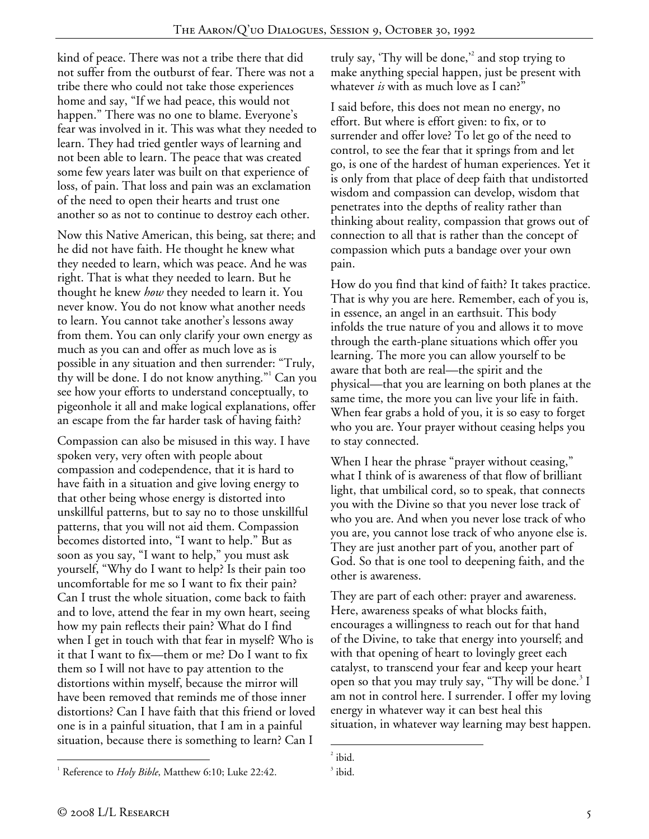kind of peace. There was not a tribe there that did not suffer from the outburst of fear. There was not a tribe there who could not take those experiences home and say, "If we had peace, this would not happen." There was no one to blame. Everyone's fear was involved in it. This was what they needed to learn. They had tried gentler ways of learning and not been able to learn. The peace that was created some few years later was built on that experience of loss, of pain. That loss and pain was an exclamation of the need to open their hearts and trust one another so as not to continue to destroy each other.

Now this Native American, this being, sat there; and he did not have faith. He thought he knew what they needed to learn, which was peace. And he was right. That is what they needed to learn. But he thought he knew *how* they needed to learn it. You never know. You do not know what another needs to learn. You cannot take another's lessons away from them. You can only clarify your own energy as much as you can and offer as much love as is possible in any situation and then surrender: "Truly, thy will be done. I do not know anything." Can you see how your efforts to understand conceptually, to pigeonhole it all and make logical explanations, offer an escape from the far harder task of having faith?

Compassion can also be misused in this way. I have spoken very, very often with people about compassion and codependence, that it is hard to have faith in a situation and give loving energy to that other being whose energy is distorted into unskillful patterns, but to say no to those unskillful patterns, that you will not aid them. Compassion becomes distorted into, "I want to help." But as soon as you say, "I want to help," you must ask yourself, "Why do I want to help? Is their pain too uncomfortable for me so I want to fix their pain? Can I trust the whole situation, come back to faith and to love, attend the fear in my own heart, seeing how my pain reflects their pain? What do I find when I get in touch with that fear in myself? Who is it that I want to fix—them or me? Do I want to fix them so I will not have to pay attention to the distortions within myself, because the mirror will have been removed that reminds me of those inner distortions? Can I have faith that this friend or loved one is in a painful situation, that I am in a painful situation, because there is something to learn? Can I

 $\overline{a}$ <sup>1</sup> Reference to *Holy Bible*, Matthew 6:10; Luke 22:42. truly say, 'Thy will be done,'<sup>2</sup> and stop trying to make anything special happen, just be present with whatever *is* with as much love as I can?"

I said before, this does not mean no energy, no effort. But where is effort given: to fix, or to surrender and offer love? To let go of the need to control, to see the fear that it springs from and let go, is one of the hardest of human experiences. Yet it is only from that place of deep faith that undistorted wisdom and compassion can develop, wisdom that penetrates into the depths of reality rather than thinking about reality, compassion that grows out of connection to all that is rather than the concept of compassion which puts a bandage over your own pain.

How do you find that kind of faith? It takes practice. That is why you are here. Remember, each of you is, in essence, an angel in an earthsuit. This body infolds the true nature of you and allows it to move through the earth-plane situations which offer you learning. The more you can allow yourself to be aware that both are real—the spirit and the physical—that you are learning on both planes at the same time, the more you can live your life in faith. When fear grabs a hold of you, it is so easy to forget who you are. Your prayer without ceasing helps you to stay connected.

When I hear the phrase "prayer without ceasing," what I think of is awareness of that flow of brilliant light, that umbilical cord, so to speak, that connects you with the Divine so that you never lose track of who you are. And when you never lose track of who you are, you cannot lose track of who anyone else is. They are just another part of you, another part of God. So that is one tool to deepening faith, and the other is awareness.

They are part of each other: prayer and awareness. Here, awareness speaks of what blocks faith, encourages a willingness to reach out for that hand of the Divine, to take that energy into yourself; and with that opening of heart to lovingly greet each catalyst, to transcend your fear and keep your heart open so that you may truly say, "Thy will be done.<sup>3</sup> I am not in control here. I surrender. I offer my loving energy in whatever way it can best heal this situation, in whatever way learning may best happen.

 $\frac{1}{2}$ ibid.

 $3$  ibid.